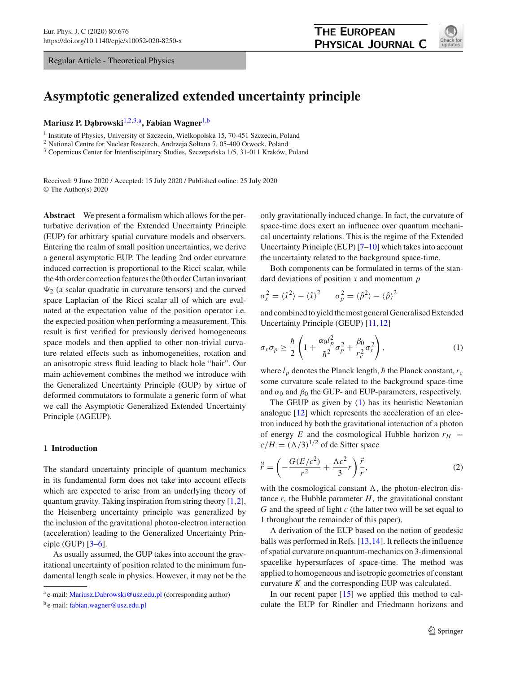Regular Article - Theoretical Physics

# **Asymptotic generalized extended uncertainty principle**

**Mariusz P. D¸abrowski**[1,2](#page-0-0)[,3,](#page-0-1)a**, Fabian Wagner**[1,](#page-0-0)b

<sup>1</sup> Institute of Physics, University of Szczecin, Wielkopolska 15, 70-451 Szczecin, Poland

<sup>2</sup> National Centre for Nuclear Research, Andrzeja Sołtana 7, 05-400 Otwock, Poland

<sup>3</sup> Copernicus Center for Interdisciplinary Studies, Szczepańska 1/5, 31-011 Kraków, Poland

Received: 9 June 2020 / Accepted: 15 July 2020 / Published online: 25 July 2020 © The Author(s) 2020

**Abstract** We present a formalism which allows for the perturbative derivation of the Extended Uncertainty Principle (EUP) for arbitrary spatial curvature models and observers. Entering the realm of small position uncertainties, we derive a general asymptotic EUP. The leading 2nd order curvature induced correction is proportional to the Ricci scalar, while the 4th order correction features the 0th order Cartan invariant  $\Psi_2$  (a scalar quadratic in curvature tensors) and the curved space Laplacian of the Ricci scalar all of which are evaluated at the expectation value of the position operator i.e. the expected position when performing a measurement. This result is first verified for previously derived homogeneous space models and then applied to other non-trivial curvature related effects such as inhomogeneities, rotation and an anisotropic stress fluid leading to black hole "hair". Our main achievement combines the method we introduce with the Generalized Uncertainty Principle (GUP) by virtue of deformed commutators to formulate a generic form of what we call the Asymptotic Generalized Extended Uncertainty Principle (AGEUP).

## **1 Introduction**

The standard uncertainty principle of quantum mechanics in its fundamental form does not take into account effects which are expected to arise from an underlying theory of quantum gravity. Taking inspiration from string theory [\[1](#page-13-0)[,2](#page-13-1)], the Heisenberg uncertainty principle was generalized by the inclusion of the gravitational photon-electron interaction (acceleration) leading to the Generalized Uncertainty Principle (GUP)  $[3-6]$  $[3-6]$ .

As usually assumed, the GUP takes into account the gravitational uncertainty of position related to the minimum fundamental length scale in physics. However, it may not be the <span id="page-0-1"></span><span id="page-0-0"></span>only gravitationally induced change. In fact, the curvature of space-time does exert an influence over quantum mechanical uncertainty relations. This is the regime of the Extended Uncertainty Principle (EUP) [\[7](#page-13-4)[–10\]](#page-13-5) which takes into account the uncertainty related to the background space-time.

Both components can be formulated in terms of the standard deviations of position *x* and momentum *p*

$$
\sigma_x^2 = \langle \hat{x}^2 \rangle - \langle \hat{x} \rangle^2 \qquad \sigma_p^2 = \langle \hat{p}^2 \rangle - \langle \hat{p} \rangle^2
$$

and combined to yield the most general Generalised Extended Uncertainty Principle (GEUP) [\[11,](#page-13-6)[12\]](#page-13-7)

<span id="page-0-2"></span>
$$
\sigma_x \sigma_p \ge \frac{\hbar}{2} \left( 1 + \frac{\alpha_0 l_p^2}{\hbar^2} \sigma_p^2 + \frac{\beta_0}{r_c^2} \sigma_x^2 \right),\tag{1}
$$

where  $l_p$  denotes the Planck length,  $\hbar$  the Planck constant,  $r_c$ some curvature scale related to the background space-time and  $\alpha_0$  and  $\beta_0$  the GUP- and EUP-parameters, respectively.

The GEUP as given by  $(1)$  has its heuristic Newtonian analogue [\[12](#page-13-7)] which represents the acceleration of an electron induced by both the gravitational interaction of a photon of energy *E* and the cosmological Hubble horizon  $r_H$  =  $c/H = (\Lambda/3)^{1/2}$  of de Sitter space

$$
\ddot{\vec{r}} = \left( -\frac{G(E/c^2)}{r^2} + \frac{\Lambda c^2}{3}r \right) \frac{\vec{r}}{r},\tag{2}
$$

with the cosmological constant  $\Lambda$ , the photon-electron distance  $r$ , the Hubble parameter  $H$ , the gravitational constant *G* and the speed of light *c* (the latter two will be set equal to 1 throughout the remainder of this paper).

A derivation of the EUP based on the notion of geodesic balls was performed in Refs. [\[13,](#page-13-8)[14\]](#page-13-9). It reflects the influence of spatial curvature on quantum-mechanics on 3-dimensional spacelike hypersurfaces of space-time. The method was applied to homogeneous and isotropic geometries of constant curvature  $K$  and the corresponding EUP was calculated.

In our recent paper [\[15\]](#page-13-10) we applied this method to calculate the EUP for Rindler and Friedmann horizons and



<sup>a</sup> e-mail: [Mariusz.Dabrowski@usz.edu.pl](mailto:Mariusz.Dabrowski@usz.edu.pl) (corresponding author)

<sup>b</sup> e-mail: [fabian.wagner@usz.edu.pl](mailto:fabian.wagner@usz.edu.pl)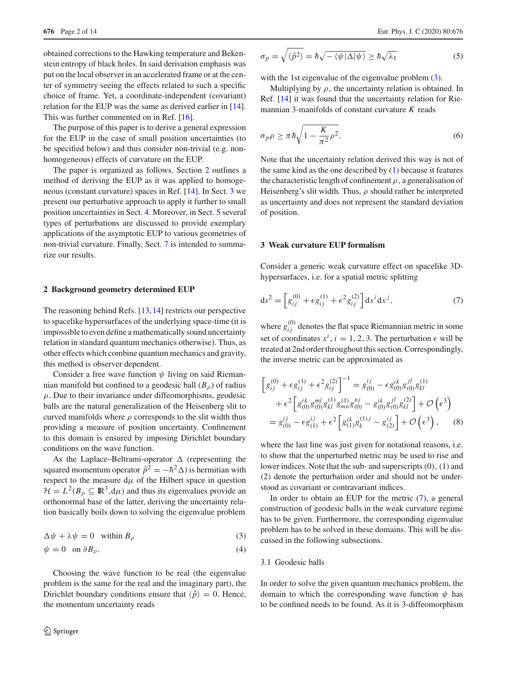obtained corrections to the Hawking temperature and Bekenstein entropy of black holes. In said derivation emphasis was put on the local observer in an accelerated frame or at the center of symmetry seeing the effects related to such a specific choice of frame. Yet, a coordinate-independent (covariant) relation for the EUP was the same as derived earlier in [\[14](#page-13-9)]. This was further commented on in Ref. [\[16](#page-13-11)].

The purpose of this paper is to derive a general expression for the EUP in the case of small position uncertainties (to be specified below) and thus consider non-trivial (e.g. nonhomogeneous) effects of curvature on the EUP.

The paper is organized as follows. Section [2](#page-1-0) outlines a method of deriving the EUP as it was applied to homogeneous (constant curvature) spaces in Ref. [\[14](#page-13-9)]. In Sect. [3](#page-1-1) we present our perturbative approach to apply it further to small position uncertainties in Sect. [4.](#page-4-0) Moreover, in Sect. [5](#page-6-0) several types of perturbations are discussed to provide exemplary applications of the asymptotic EUP to various geometries of non-trivial curvature. Finally, Sect. [7](#page-8-0) is intended to summarize our results.

# <span id="page-1-0"></span>**2 Background geometry determined EUP**

The reasoning behind Refs. [\[13](#page-13-8)[,14](#page-13-9)] restricts our perspective to spacelike hypersurfaces of the underlying space-time (it is impossible to even define a mathematically sound uncertainty relation in standard quantum mechanics otherwise). Thus, as other effects which combine quantum mechanics and gravity, this method is observer dependent.

Consider a free wave function  $\psi$  living on said Riemannian manifold but confined to a geodesic ball  $(B<sub>o</sub>)$  of radius  $\rho$ . Due to their invariance under diffeomorphisms, geodesic balls are the natural generalization of the Heisenberg slit to curved manifolds where  $\rho$  corresponds to the slit width thus providing a measure of position uncertainty. Confinement to this domain is ensured by imposing Dirichlet boundary conditions on the wave function.

As the Laplace–Beltrami-operator  $\Delta$  (representing the squared momentum operator  $\hat{p}^2 = -\hbar^2 \Delta$ ) is hermitian with respect to the measure  $d\mu$  of the Hilbert space in question  $\mathcal{H} = L^2(B_\rho \subseteq \mathbb{R}^3, d\mu)$  and thus its eigenvalues provide an orthonormal base of the latter, deriving the uncertainty relation basically boils down to solving the eigenvalue problem

$$
\Delta \psi + \lambda \psi = 0 \quad \text{within } B_{\rho} \tag{3}
$$

$$
\psi = 0 \quad \text{on } \partial B_{\rho}.\tag{4}
$$

Choosing the wave function to be real (the eigenvalue problem is the same for the real and the imaginary part), the Dirichlet boundary conditions ensure that  $\langle \hat{p} \rangle = 0$ . Hence, the momentum uncertainty reads

$$
\sigma_p = \sqrt{\langle \hat{p}^2 \rangle} = \hbar \sqrt{-\langle \psi | \Delta | \psi \rangle} \ge \hbar \sqrt{\lambda_1}
$$
 (5)

with the 1st eigenvalue of the eigenvalue problem  $(3)$ .

Multiplying by  $\rho$ , the uncertainty relation is obtained. In Ref. [\[14](#page-13-9)] it was found that the uncertainty relation for Riemannian 3-manifolds of constant curvature *K* reads

<span id="page-1-4"></span>
$$
\sigma_p \rho \ge \pi \hbar \sqrt{1 - \frac{K}{\pi^2} \rho^2}.
$$
\n(6)

Note that the uncertainty relation derived this way is not of the same kind as the one described by [\(1\)](#page-0-2) because it features the characteristic length of confinement  $\rho$ , a generalisation of Heisenberg's slit width. Thus,  $\rho$  should rather be interpreted as uncertainty and does not represent the standard deviation of position.

#### <span id="page-1-1"></span>**3 Weak curvature EUP formalism**

Consider a generic weak curvature effect on spacelike 3Dhypersurfaces, i.e. for a spatial metric splitting

<span id="page-1-3"></span>
$$
ds^{2} = \left[g_{ij}^{(0)} + \epsilon g_{ij}^{(1)} + \epsilon^{2} g_{ij}^{(2)}\right] dx^{i} dx^{j}, \tag{7}
$$

where  $g_{ij}^{(0)}$  denotes the flat space Riemannian metric in some set of coordinates  $x^i$ ,  $i = 1, 2, 3$ . The perturbation  $\epsilon$  will be treated at 2nd order throughout this section. Correspondingly, the inverse metric can be approximated as

$$
\[g_{ij}^{(0)} + \epsilon g_{ij}^{(1)} + \epsilon^2 g_{ij}^{(2)}\]^{-1} = g_{(0)}^{ij} - \epsilon g_{(0)}^{ik} g_{(0)}^{jl} g_{kl}^{(1)} \n+ \epsilon^2 \left[g_{(0)}^{ik} g_{(0)}^{ml} g_{kn}^{(1)} g_{mn}^{nj} g_{(0)}^{nj} - g_{(0)}^{ik} g_{(0)}^{jl} g_{kl}^{(2)}\right] + \mathcal{O}\left(\epsilon^3\right) \n= g_{(0)}^{ij} - \epsilon g_{(1)}^{ij} + \epsilon^2 \left[g_{(1)}^{ik} g_{k}^{(1)j} - g_{(2)}^{ij}\right] + \mathcal{O}\left(\epsilon^3\right), \quad (8)
$$

where the last line was just given for notational reasons, i.e. to show that the unperturbed metric may be used to rise and lower indices. Note that the sub- and superscripts  $(0)$ ,  $(1)$  and (2) denote the perturbation order and should not be understood as covariant or contravariant indices.

<span id="page-1-2"></span>In order to obtain an EUP for the metric [\(7\)](#page-1-3), a general construction of geodesic balls in the weak curvature regime has to be given. Furthermore, the corresponding eigenvalue problem has to be solved in these domains. This will be discussed in the following subsections.

### 3.1 Geodesic balls

In order to solve the given quantum mechanics problem, the domain to which the corresponding wave function  $\psi$  has to be confined needs to be found. As it is 3-diffeomorphism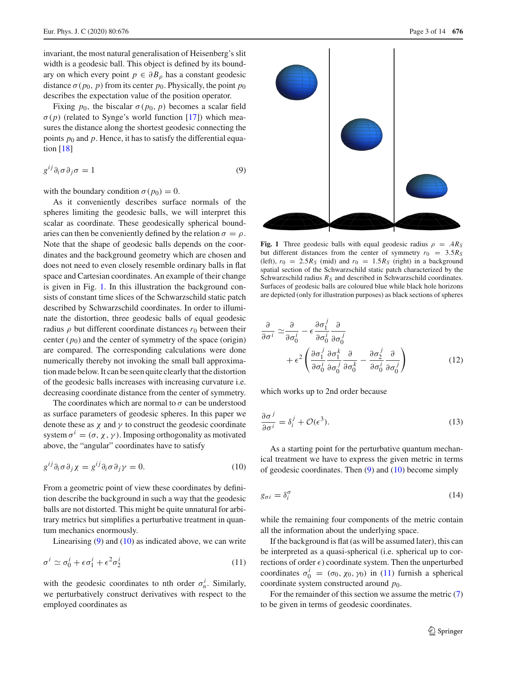invariant, the most natural generalisation of Heisenberg's slit width is a geodesic ball. This object is defined by its boundary on which every point  $p \in \partial B_0$  has a constant geodesic distance  $\sigma(p_0, p)$  from its center  $p_0$ . Physically, the point  $p_0$ describes the expectation value of the position operator.

Fixing  $p_0$ , the biscalar  $\sigma(p_0, p)$  becomes a scalar field  $\sigma(p)$  (related to Synge's world function [\[17](#page-13-12)]) which measures the distance along the shortest geodesic connecting the points  $p_0$  and  $p$ . Hence, it has to satisfy the differential equation [\[18](#page-13-13)]

$$
g^{ij}\partial_i\sigma\partial_j\sigma = 1\tag{9}
$$

with the boundary condition  $\sigma(p_0) = 0$ .

As it conveniently describes surface normals of the spheres limiting the geodesic balls, we will interpret this scalar as coordinate. These geodesically spherical boundaries can then be conveniently defined by the relation  $\sigma = \rho$ . Note that the shape of geodesic balls depends on the coordinates and the background geometry which are chosen and does not need to even closely resemble ordinary balls in flat space and Cartesian coordinates. An example of their change is given in Fig. [1.](#page-2-0) In this illustration the background consists of constant time slices of the Schwarzschild static patch described by Schwarzschild coordinates. In order to illuminate the distortion, three geodesic balls of equal geodesic radius  $\rho$  but different coordinate distances  $r_0$  between their center  $(p_0)$  and the center of symmetry of the space (origin) are compared. The corresponding calculations were done numerically thereby not invoking the small ball approximation made below. It can be seen quite clearly that the distortion of the geodesic balls increases with increasing curvature i.e. decreasing coordinate distance from the center of symmetry.

The coordinates which are normal to  $\sigma$  can be understood as surface parameters of geodesic spheres. In this paper we denote these as  $\chi$  and  $\gamma$  to construct the geodesic coordinate system  $\sigma^i = (\sigma, \chi, \gamma)$ . Imposing orthogonality as motivated above, the "angular" coordinates have to satisfy

$$
g^{ij}\partial_i\sigma\partial_j\chi = g^{ij}\partial_i\sigma\partial_j\gamma = 0.
$$
 (10)

From a geometric point of view these coordinates by definition describe the background in such a way that the geodesic balls are not distorted. This might be quite unnatural for arbitrary metrics but simplifies a perturbative treatment in quantum mechanics enormously.

Linearising  $(9)$  and  $(10)$  as indicated above, we can write

$$
\sigma^i \simeq \sigma_0^i + \epsilon \sigma_1^i + \epsilon^2 \sigma_2^i \tag{11}
$$

with the geodesic coordinates to nth order  $\sigma_n^i$ . Similarly, we perturbatively construct derivatives with respect to the employed coordinates as



<span id="page-2-1"></span><span id="page-2-0"></span>**Fig. 1** Three geodesic balls with equal geodesic radius  $\rho = .4R_S$ but different distances from the center of symmetry  $r_0 = 3.5R_s$ (left),  $r_0 = 2.5R_s$  (mid) and  $r_0 = 1.5R_s$  (right) in a background spatial section of the Schwarzschild static patch characterized by the Schwarzschild radius  $R<sub>S</sub>$  and described in Schwarzschild coordinates. Surfaces of geodesic balls are coloured blue while black hole horizons are depicted (only for illustration purposes) as black sections of spheres

$$
\frac{\partial}{\partial \sigma^i} \simeq \frac{\partial}{\partial \sigma_0^i} - \epsilon \frac{\partial \sigma_1^j}{\partial \sigma_0^i} \frac{\partial}{\partial \sigma_0^j} \n+ \epsilon^2 \left( \frac{\partial \sigma_1^j}{\partial \sigma_0^i} \frac{\partial \sigma_1^k}{\partial \sigma_0^j} \frac{\partial}{\partial \sigma_0^k} - \frac{\partial \sigma_2^j}{\partial \sigma_0^i} \frac{\partial}{\partial \sigma_0^j} \right)
$$
\n(12)

which works up to 2nd order because

$$
\frac{\partial \sigma^j}{\partial \sigma^i} = \delta_i^j + \mathcal{O}(\epsilon^3). \tag{13}
$$

<span id="page-2-2"></span>As a starting point for the perturbative quantum mechanical treatment we have to express the given metric in terms of geodesic coordinates. Then  $(9)$  and  $(10)$  become simply

<span id="page-2-4"></span>
$$
g_{\sigma i} = \delta_i^{\sigma} \tag{14}
$$

while the remaining four components of the metric contain all the information about the underlying space.

<span id="page-2-3"></span>If the background is flat (as will be assumed later), this can be interpreted as a quasi-spherical (i.e. spherical up to corrections of order  $\epsilon$ ) coordinate system. Then the unperturbed coordinates  $\sigma_0^i = (\sigma_0, \chi_0, \gamma_0)$  in [\(11\)](#page-2-3) furnish a spherical coordinate system constructed around *p*0.

For the remainder of this section we assume the metric [\(7\)](#page-1-3) to be given in terms of geodesic coordinates.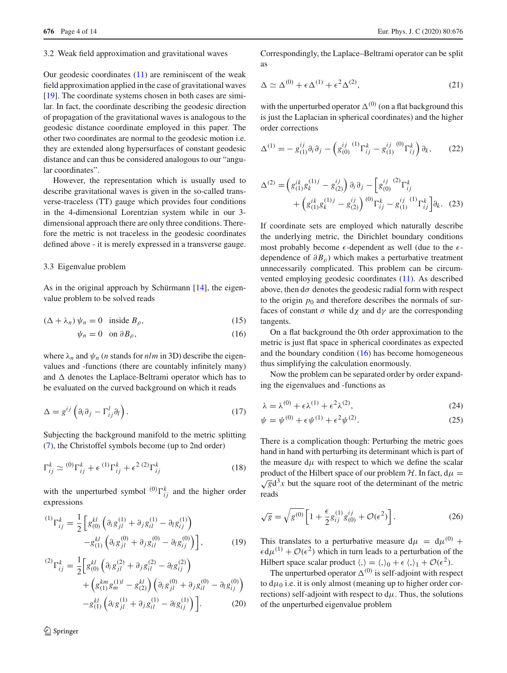#### 3.2 Weak field approximation and gravitational waves

Our geodesic coordinates  $(11)$  are reminiscent of the weak field approximation applied in the case of gravitational waves [\[19](#page-13-14)]. The coordinate systems chosen in both cases are similar. In fact, the coordinate describing the geodesic direction of propagation of the gravitational waves is analogous to the geodesic distance coordinate employed in this paper. The other two coordinates are normal to the geodesic motion i.e. they are extended along hypersurfaces of constant geodesic distance and can thus be considered analogous to our "angular coordinates".

However, the representation which is usually used to describe gravitational waves is given in the so-called transverse-traceless (TT) gauge which provides four conditions in the 4-dimensional Lorentzian system while in our 3 dimensional approach there are only three conditions. Therefore the metric is not traceless in the geodesic coordinates defined above - it is merely expressed in a transverse gauge.

#### <span id="page-3-1"></span>3.3 Eigenvalue problem

As in the original approach by Schürmann [\[14](#page-13-9)], the eigenvalue problem to be solved reads

$$
(\Delta + \lambda_n) \psi_n = 0 \quad \text{inside } B_\rho,\tag{15}
$$

$$
\psi_n = 0 \quad \text{on } \partial B_\rho,\tag{16}
$$

where  $\lambda_n$  and  $\psi_n$  (*n* stands for *nlm* in 3D) describe the eigenvalues and -functions (there are countably infinitely many) and  $\Delta$  denotes the Laplace-Beltrami operator which has to be evaluated on the curved background on which it reads

$$
\Delta = g^{ij} \left( \partial_i \partial_j - \Gamma_{ij}^l \partial_l \right). \tag{17}
$$

Subjecting the background manifold to the metric splitting [\(7\)](#page-1-3), the Christoffel symbols become (up to 2nd order)

$$
\Gamma_{ij}^k \simeq {}^{(0)}\Gamma_{ij}^k + \epsilon {}^{(1)}\Gamma_{ij}^k + \epsilon^2 {}^{(2)}\Gamma_{ij}^k
$$
 (18)

with the unperturbed symbol  $^{(0)}\Gamma_{ij}^k$  and the higher order expressions

$$
{}^{(1)}\Gamma_{ij}^k = \frac{1}{2} \left[ g_{(0)}^{kl} \left( \partial_i g_{jl}^{(1)} + \partial_j g_{il}^{(1)} - \partial_l g_{ij}^{(1)} \right) - g_{(1)}^{kl} \left( \partial_i g_{jl}^{(0)} + \partial_j g_{il}^{(0)} - \partial_l g_{ij}^{(0)} \right) \right],
$$
 (19)

$$
{}^{(2)}\Gamma_{ij}^{k} = \frac{1}{2} \Big[ g_{(0)}^{kl} \left( \partial_{i} g_{jl}^{(2)} + \partial_{j} g_{il}^{(2)} - \partial_{l} g_{ij}^{(2)} \right) + \left( g_{(1)}^{km} g_{m}^{(1)l} - g_{(2)}^{kl} \right) \left( \partial_{i} g_{jl}^{(0)} + \partial_{j} g_{il}^{(0)} - \partial_{l} g_{ij}^{(0)} \right) - g_{(1)}^{kl} \left( \partial_{i} g_{jl}^{(1)} + \partial_{j} g_{il}^{(1)} - \partial_{l} g_{ij}^{(1)} \right) \Big].
$$
\n(20)

<sup>1</sup> Springer

Correspondingly, the Laplace–Beltrami operator can be split as

$$
\Delta \simeq \Delta^{(0)} + \epsilon \Delta^{(1)} + \epsilon^2 \Delta^{(2)},\tag{21}
$$

with the unperturbed operator  $\Delta^{(0)}$  (on a flat background this is just the Laplacian in spherical coordinates) and the higher order corrections

$$
\Delta^{(1)} = -g_{(1)}^{ij}\partial_i\partial_j - \left(g_{(0)}^{ij}{}^{(1)}\Gamma_{ij}^k - g_{(1)}^{ij}{}^{(0)}\Gamma_{ij}^k\right)\partial_k,\tag{22}
$$

$$
\Delta^{(2)} = \left( g_{(1)}^{ik} g_k^{(1)j} - g_{(2)}^{ij} \right) \partial_i \partial_j - \left[ g_{(0)}^{ij} \right] \Gamma_{ij}^k + \left( g_{(1)}^{ik} g_k^{(1)j} - g_{(2)}^{ij} \right) \left( \int_0^{0} \Gamma_{ij}^k - g_{(1)}^{ij} \right) \Gamma_{ij}^k \right] \partial_k. (23)
$$

If coordinate sets are employed which naturally describe the underlying metric, the Dirichlet boundary conditions most probably become  $\epsilon$ -dependent as well (due to the  $\epsilon$ dependence of ∂ *B*ρ) which makes a perturbative treatment unnecessarily complicated. This problem can be circumvented employing geodesic coordinates [\(11\)](#page-2-3). As described above, then  $d\sigma$  denotes the geodesic radial form with respect to the origin  $p_0$  and therefore describes the normals of surfaces of constant  $\sigma$  while d $\chi$  and d $\gamma$  are the corresponding tangents.

<span id="page-3-0"></span>On a flat background the 0th order approximation to the metric is just flat space in spherical coordinates as expected and the boundary condition  $(16)$  has become homogeneous thus simplifying the calculation enormously.

Now the problem can be separated order by order expanding the eigenvalues and -functions as

$$
\lambda = \lambda^{(0)} + \epsilon \lambda^{(1)} + \epsilon^2 \lambda^{(2)},\tag{24}
$$

$$
\psi = \psi^{(0)} + \epsilon \psi^{(1)} + \epsilon^2 \psi^{(2)}.
$$
\n(25)

There is a complication though: Perturbing the metric goes hand in hand with perturbing its determinant which is part of the measure  $d\mu$  with respect to which we define the scalar product of the Hilbert space of our problem *H*. In fact,  $d\mu = \sqrt{g}d^3x$  but the square root of the determinant of the metric reads

$$
\sqrt{g} = \sqrt{g^{(0)}} \left[ 1 + \frac{\epsilon}{2} g_{ij}^{(1)} g_{(0)}^{ij} + \mathcal{O}(\epsilon^2) \right].
$$
 (26)

This translates to a perturbative measure  $d\mu = d\mu^{(0)} +$  $\epsilon d\mu^{(1)} + \mathcal{O}(\epsilon^2)$  which in turn leads to a perturbation of the Hilbert space scalar product  $\langle , \rangle = \langle , \rangle_0 + \epsilon \langle , \rangle_1 + \mathcal{O}(\epsilon^2)$ .

The unperturbed operator  $\Delta^{(0)}$  is self-adjoint with respect to  $d\mu_0$  i.e. it is only almost (meaning up to higher order corrections) self-adjoint with respect to  $d\mu$ . Thus, the solutions of the unperturbed eigenvalue problem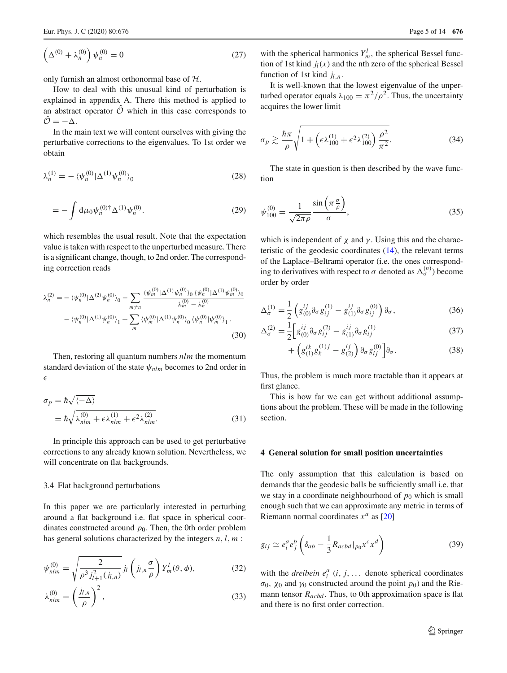$$
\left(\Delta^{(0)} + \lambda_n^{(0)}\right)\psi_n^{(0)} = 0\tag{27}
$$

only furnish an almost orthonormal base of *H*.

How to deal with this unusual kind of perturbation is explained in appendix A. There this method is applied to an abstract operator  $\hat{\mathcal{O}}$  which in this case corresponds to  $\hat{\mathcal{O}}=-\Delta$ .

In the main text we will content ourselves with giving the perturbative corrections to the eigenvalues. To 1st order we obtain

$$
\lambda_n^{(1)} = -\langle \psi_n^{(0)} | \Delta^{(1)} \psi_n^{(0)} \rangle_0 \tag{28}
$$

$$
= -\int d\mu_0 \psi_n^{(0)\dagger} \Delta^{(1)} \psi_n^{(0)}.
$$
 (29)

which resembles the usual result. Note that the expectation value is taken with respect to the unperturbed measure. There is a significant change, though, to 2nd order. The corresponding correction reads

$$
\lambda_n^{(2)} = -\langle \psi_n^{(0)} | \Delta^{(2)} \psi_n^{(0)} \rangle_0 - \sum_{m \neq n} \frac{\langle \psi_m^{(0)} | \Delta^{(1)} \psi_n^{(0)} \rangle_0 \langle \psi_n^{(0)} | \Delta^{(1)} \psi_m^{(0)} \rangle_0}{\lambda_m^{(0)} - \lambda_n^{(0)}} \n- \langle \psi_n^{(0)} | \Delta^{(1)} \psi_n^{(0)} \rangle_1 + \sum_m \langle \psi_m^{(0)} | \Delta^{(1)} \psi_n^{(0)} \rangle_0 \langle \psi_n^{(0)} | \psi_m^{(0)} \rangle_1.
$$
\n(30)

Then, restoring all quantum numbers *nlm* the momentum standard deviation of the state  $\psi_{nlm}$  becomes to 2nd order in  $\epsilon$ 

$$
\sigma_p = \hbar \sqrt{\langle -\Delta \rangle}
$$
  
=  $\hbar \sqrt{\lambda_{nlm}^{(0)} + \epsilon \lambda_{nlm}^{(1)} + \epsilon^2 \lambda_{nlm}^{(2)}}$ . (31)

In principle this approach can be used to get perturbative corrections to any already known solution. Nevertheless, we will concentrate on flat backgrounds.

#### 3.4 Flat background perturbations

In this paper we are particularly interested in perturbing around a flat background i.e. flat space in spherical coordinates constructed around  $p_0$ . Then, the 0th order problem has general solutions characterized by the integers *n*,*l*, *m* :

$$
\psi_{nlm}^{(0)} = \sqrt{\frac{2}{\rho^3 j_{l+1}^2 (j_{l,n})}} j_l \left( j_{l,n} \frac{\sigma}{\rho} \right) Y_m^l (\theta, \phi), \tag{32}
$$

$$
\lambda_{nlm}^{(0)} = \left(\frac{j_{l,n}}{\rho}\right)^2,\tag{33}
$$

with the spherical harmonics  $Y_m^l$ , the spherical Bessel function of 1st kind  $j_l(x)$  and the nth zero of the spherical Bessel function of 1st kind  $j_l$ <sub>n</sub>.

It is well-known that the lowest eigenvalue of the unperturbed operator equals  $\lambda_{100} = \pi^2/\rho^2$ . Thus, the uncertainty acquires the lower limit

$$
\sigma_p \gtrsim \frac{\hbar \pi}{\rho} \sqrt{1 + \left(\epsilon \lambda_{100}^{(1)} + \epsilon^2 \lambda_{100}^{(2)}\right) \frac{\rho^2}{\pi^2}}.
$$
\n(34)

The state in question is then described by the wave function

$$
\psi_{100}^{(0)} = \frac{1}{\sqrt{2\pi\rho}} \frac{\sin\left(\pi \frac{\sigma}{\rho}\right)}{\sigma},\tag{35}
$$

which is independent of  $\chi$  and  $\gamma$ . Using this and the characteristic of the geodesic coordinates [\(14\)](#page-2-4), the relevant terms of the Laplace–Beltrami operator (i.e. the ones corresponding to derivatives with respect to  $\sigma$  denoted as  $\Delta_{\sigma}^{(n)}$ ) become order by order

$$
\Delta_{\sigma}^{(1)} = \frac{1}{2} \left( g_{(0)}^{ij} \partial_{\sigma} g_{ij}^{(1)} - g_{(1)}^{ij} \partial_{\sigma} g_{ij}^{(0)} \right) \partial_{\sigma}, \tag{36}
$$

$$
\Delta_{\sigma}^{(2)} = \frac{1}{2} \left[ g_{(0)}^{ij} \partial_{\sigma} g_{ij}^{(2)} - g_{(1)}^{ij} \partial_{\sigma} g_{ij}^{(1)} \right]
$$
(37)

$$
+\left(g_{(1)}^{ik}g_k^{(1)j}-g_{(2)}^{ij}\right)\partial_{\sigma}g_{ij}^{(0)}\bigg]\partial_{\sigma}.
$$
\n(38)

Thus, the problem is much more tractable than it appears at first glance.

This is how far we can get without additional assumptions about the problem. These will be made in the following section.

#### <span id="page-4-0"></span>**4 General solution for small position uncertainties**

The only assumption that this calculation is based on demands that the geodesic balls be sufficiently small i.e. that we stay in a coordinate neighbourhood of  $p_0$  which is small enough such that we can approximate any metric in terms of Riemann normal coordinates  $x^a$  as [\[20\]](#page-13-15)

$$
g_{ij} \simeq e_i^a e_j^b \left( \delta_{ab} - \frac{1}{3} R_{acbd} |_{p_0} x^c x^d \right) \tag{39}
$$

with the *dreibein*  $e_i^a$  (*i*, *j*, ... denote spherical coordinates σ<sub>0</sub>,  $χ_0$  and  $γ_0$  constructed around the point  $p_0$ ) and the Riemann tensor  $R_{acbd}$ . Thus, to 0th approximation space is flat and there is no first order correction.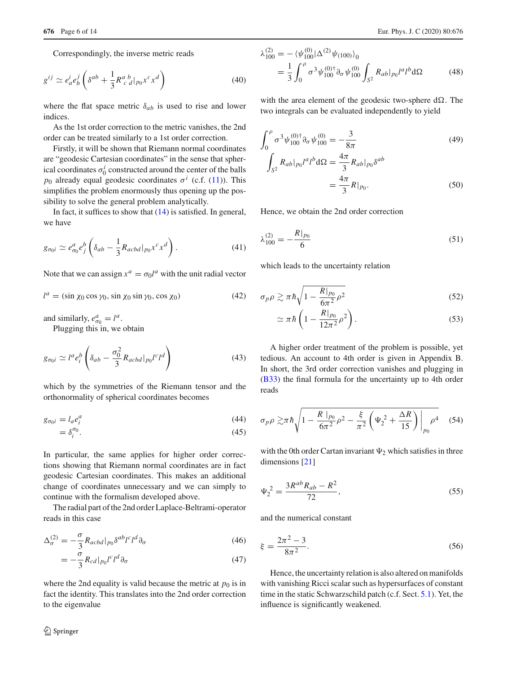Correspondingly, the inverse metric reads

$$
g^{ij} \simeq e_a^i e_b^j \left( \delta^{ab} + \frac{1}{3} R^a{}_c{}^b{}_{d} |_{p_0} x^c x^d \right) \tag{40}
$$

where the flat space metric  $\delta_{ab}$  is used to rise and lower indices.

As the 1st order correction to the metric vanishes, the 2nd order can be treated similarly to a 1st order correction.

Firstly, it will be shown that Riemann normal coordinates are "geodesic Cartesian coordinates" in the sense that spherical coordinates  $\sigma_0^i$  constructed around the center of the balls *p*<sub>0</sub> already equal geodesic coordinates  $\sigma^{i}$  (c.f. [\(11\)](#page-2-3)). This simplifies the problem enormously thus opening up the possibility to solve the general problem analytically.

In fact, it suffices to show that [\(14\)](#page-2-4) is satisfied. In general, we have

$$
g_{\sigma_0 i} \simeq e_{\sigma_0}^a e_j^b \left( \delta_{ab} - \frac{1}{3} R_{acbd} |_{p_0} x^c x^d \right). \tag{41}
$$

Note that we can assign  $x^a = \sigma_0 l^a$  with the unit radial vector

$$
l^{a} = (\sin \chi_{0} \cos \gamma_{0}, \sin \chi_{0} \sin \gamma_{0}, \cos \chi_{0})
$$
 (42)

and similarly,  $e_{\sigma_0}^a = l^a$ .

Plugging this in, we obtain

$$
g_{\sigma_0 i} \simeq l^a e_i^b \left( \delta_{ab} - \frac{\sigma_0^2}{3} R_{acbd} |_{p_0} l^c l^d \right) \tag{43}
$$

which by the symmetries of the Riemann tensor and the orthonormality of spherical coordinates becomes

$$
g_{\sigma_0 i} = l_a e_i^a \tag{44}
$$

$$
=\delta_i^{\sigma_0}.\tag{45}
$$

In particular, the same applies for higher order corrections showing that Riemann normal coordinates are in fact geodesic Cartesian coordinates. This makes an additional change of coordinates unnecessary and we can simply to continue with the formalism developed above.

The radial part of the 2nd order Laplace-Beltrami-operator reads in this case

$$
\Delta_{\sigma}^{(2)} = -\frac{\sigma}{3} R_{acbd} |_{p_0} \delta^{ab} l^c l^d \partial_{\sigma}
$$
\n(46)

$$
= -\frac{\sigma}{3} R_{cd} |_{p_0} l^c l^d \partial_\sigma \tag{47}
$$

where the 2nd equality is valid because the metric at  $p_0$  is in fact the identity. This translates into the 2nd order correction to the eigenvalue

$$
\lambda_{100}^{(2)} = -\langle \psi_{100}^{(0)} | \Delta^{(2)} \psi_{(100)} \rangle_0
$$
  
= 
$$
\frac{1}{3} \int_0^\rho \sigma^3 \psi_{100}^{(0) \dagger} \partial_\sigma \psi_{100}^{(0)} \int_{S^2} R_{ab} |_{p_0} l^a l^b d\Omega
$$
 (48)

with the area element of the geodesic two-sphere  $d\Omega$ . The two integrals can be evaluated independently to yield

$$
\int_0^{\rho} \sigma^3 \psi_{100}^{(0) \dagger} \partial_{\sigma} \psi_{100}^{(0)} = -\frac{3}{8\pi}
$$
\n
$$
\int_{S^2} R_{ab} |_{p_0} l^a l^b d\Omega = \frac{4\pi}{3} R_{ab} |_{p_0} \delta^{ab}
$$
\n
$$
= \frac{4\pi}{3} R |_{p_0}.
$$
\n(50)

Hence, we obtain the 2nd order correction

$$
\lambda_{100}^{(2)} = -\frac{R|_{p_0}}{6} \tag{51}
$$

which leads to the uncertainty relation

$$
\sigma_p \rho \gtrsim \pi \hbar \sqrt{1 - \frac{R|_{p_0}}{6\pi^2} \rho^2} \tag{52}
$$

$$
\simeq \pi \hbar \left( 1 - \frac{R|_{p_0}}{12\pi^2} \rho^2 \right). \tag{53}
$$

A higher order treatment of the problem is possible, yet tedious. An account to 4th order is given in Appendix B. In short, the 3rd order correction vanishes and plugging in [\(B33\)](#page-12-0) the final formula for the uncertainty up to 4th order reads

<span id="page-5-0"></span>
$$
\sigma_p \rho \gtrsim \pi \hbar \sqrt{1 - \frac{R \mid_{p_0}}{6\pi^2} \rho^2 - \frac{\xi}{\pi^2} \left( \Psi_2^2 + \frac{\Delta R}{15} \right) \bigg|_{p_0} \rho^4} \quad (54)
$$

with the 0th order Cartan invariant  $\Psi_2$  which satisfies in three dimensions [\[21](#page-13-16)]

$$
\Psi_2^2 = \frac{3R^{ab}R_{ab} - R^2}{72},\tag{55}
$$

and the numerical constant

$$
\xi = \frac{2\pi^2 - 3}{8\pi^2}.
$$
\n(56)

Hence, the uncertainty relation is also altered on manifolds with vanishing Ricci scalar such as hypersurfaces of constant time in the static Schwarzschild patch (c.f. Sect. [5.1\)](#page-6-1). Yet, the influence is significantly weakened.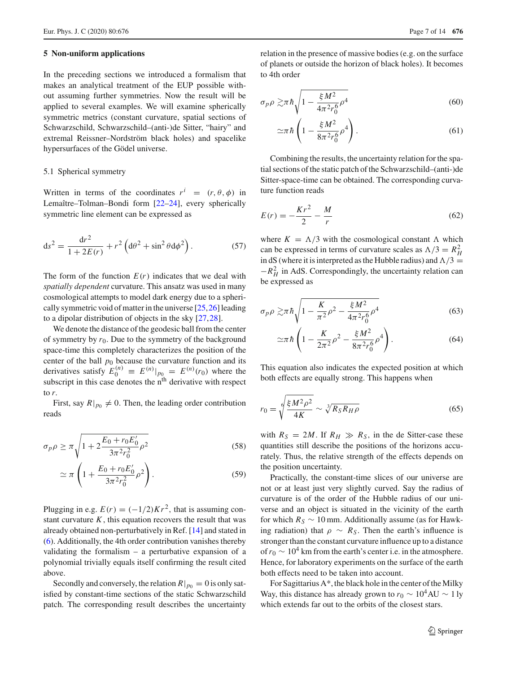#### <span id="page-6-0"></span>**5 Non-uniform applications**

In the preceding sections we introduced a formalism that makes an analytical treatment of the EUP possible without assuming further symmetries. Now the result will be applied to several examples. We will examine spherically symmetric metrics (constant curvature, spatial sections of Schwarzschild, Schwarzschild–(anti-)de Sitter, "hairy" and extremal Reissner–Nordström black holes) and spacelike hypersurfaces of the Gödel universe.

#### <span id="page-6-1"></span>5.1 Spherical symmetry

Written in terms of the coordinates  $r^i = (r, \theta, \phi)$  in Lemaître–Tolman–Bondi form [\[22](#page-13-17)[–24](#page-13-18)], every spherically symmetric line element can be expressed as

$$
ds^{2} = \frac{dr^{2}}{1 + 2E(r)} + r^{2} \left( d\theta^{2} + \sin^{2} \theta d\phi^{2} \right).
$$
 (57)

The form of the function  $E(r)$  indicates that we deal with *spatially dependent* curvature. This ansatz was used in many cosmological attempts to model dark energy due to a spherically symmetric void of matter in the universe [\[25](#page-13-19)[,26](#page-13-20)] leading to a dipolar distribution of objects in the sky [\[27](#page-13-21)[,28](#page-13-22)].

We denote the distance of the geodesic ball from the center of symmetry by  $r_0$ . Due to the symmetry of the background space-time this completely characterizes the position of the center of the ball  $p_0$  because the curvature function and its derivatives satisfy  $E_0^{(n)} \equiv E^{(n)}|_{p_0} = E^{(n)}(r_0)$  where the subscript in this case denotes the n<sup>th</sup> derivative with respect to *r*.

First, say  $R|_{p_0} \neq 0$ . Then, the leading order contribution reads

$$
\sigma_p \rho \ge \pi \sqrt{1 + 2 \frac{E_0 + r_0 E_0'}{3\pi^2 r_0^2} \rho^2}
$$
\n(58)

$$
\simeq \pi \left( 1 + \frac{E_0 + r_0 E_0'}{3\pi^2 r_0^2} \rho^2 \right). \tag{59}
$$

Plugging in e.g.  $E(r) = (-1/2)Kr^2$ , that is assuming constant curvature  $K$ , this equation recovers the result that was already obtained non-perturbatively in Ref. [\[14](#page-13-9)] and stated in [\(6\)](#page-1-4). Additionally, the 4th order contribution vanishes thereby validating the formalism – a perturbative expansion of a polynomial trivially equals itself confirming the result cited above.

Secondly and conversely, the relation  $R|_{p_0} = 0$  is only satisfied by constant-time sections of the static Schwarzschild patch. The corresponding result describes the uncertainty

relation in the presence of massive bodies (e.g. on the surface of planets or outside the horizon of black holes). It becomes to 4th order

$$
\sigma_p \rho \gtrsim \pi \hbar \sqrt{1 - \frac{\xi M^2}{4\pi^2 r_0^6} \rho^4} \tag{60}
$$

<span id="page-6-3"></span>
$$
\simeq \pi \hbar \left( 1 - \frac{\xi M^2}{8\pi^2 r_0^6} \rho^4 \right). \tag{61}
$$

Combining the results, the uncertainty relation for the spatial sections of the static patch of the Schwarzschild–(anti-)de Sitter-space-time can be obtained. The corresponding curvature function reads

$$
E(r) = -\frac{Kr^2}{2} - \frac{M}{r}
$$
 (62)

where  $K = \Lambda/3$  with the cosmological constant  $\Lambda$  which can be expressed in terms of curvature scales as  $\Lambda/3 = R_H^2$ in dS (where it is interpreted as the Hubble radius) and  $\Lambda/3 =$  $-R_H^2$  in AdS. Correspondingly, the uncertainty relation can be expressed as

$$
\sigma_p \rho \gtrsim \pi \hbar \sqrt{1 - \frac{K}{\pi^2} \rho^2 - \frac{\xi M^2}{4\pi^2 r_0^6} \rho^4}
$$
 (63)

$$
\approx \pi \hbar \left( 1 - \frac{K}{2\pi^2} \rho^2 - \frac{\xi M^2}{8\pi^2 r_0^6} \rho^4 \right). \tag{64}
$$

This equation also indicates the expected position at which both effects are equally strong. This happens when

$$
r_0 = \sqrt[6]{\frac{\xi M^2 \rho^2}{4K}} \sim \sqrt[3]{R_S R_H \rho}
$$
\n(65)

with  $R_S = 2M$ . If  $R_H \gg R_S$ , in the de Sitter-case these quantities still describe the positions of the horizons accurately. Thus, the relative strength of the effects depends on the position uncertainty.

<span id="page-6-2"></span>Practically, the constant-time slices of our universe are not or at least just very slightly curved. Say the radius of curvature is of the order of the Hubble radius of our universe and an object is situated in the vicinity of the earth for which  $R_S \sim 10$  mm. Additionally assume (as for Hawking radiation) that  $\rho \sim R_S$ . Then the earth's influence is stronger than the constant curvature influence up to a distance of  $r_0 \sim 10^4$  km from the earth's center i.e. in the atmosphere. Hence, for laboratory experiments on the surface of the earth both effects need to be taken into account.

For Sagittarius A\*, the black hole in the center of the Milky Way, this distance has already grown to  $r_0 \sim 10^4$ AU  $\sim 1$  ly which extends far out to the orbits of the closest stars.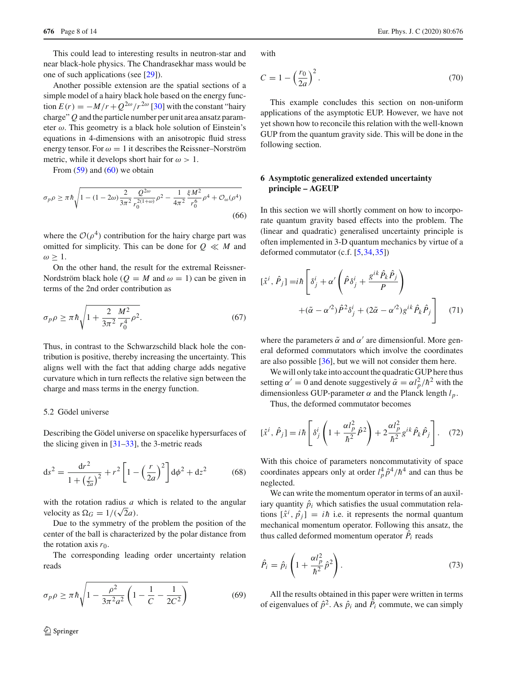This could lead to interesting results in neutron-star and near black-hole physics. The Chandrasekhar mass would be one of such applications (see [\[29\]](#page-13-23)).

Another possible extension are the spatial sections of a simple model of a hairy black hole based on the energy function  $E(r) = -M/r + Q^{2\omega}/r^{2\omega}$  [\[30\]](#page-13-24) with the constant "hairy" charge" *Q* and the particle number per unit area ansatz parameter  $\omega$ . This geometry is a black hole solution of Einstein's equations in 4-dimensions with an anisotropic fluid stress energy tensor. For  $\omega = 1$  it describes the Reissner–Norström metric, while it develops short hair for  $\omega > 1$ .

From  $(59)$  and  $(60)$  we obtain

$$
\sigma_p \rho \ge \pi \hbar \sqrt{1 - (1 - 2\omega) \frac{2}{3\pi^2} \frac{Q^{2\omega}}{r_0^{2(1+\omega)}} \rho^2 - \frac{1}{4\pi^2} \frac{\xi M^2}{r_0^6} \rho^4 + \mathcal{O}_{\omega}(\rho^4)}
$$
(66)

where the  $O(\rho^4)$  contribution for the hairy charge part was omitted for simplicity. This can be done for  $Q \ll M$  and  $\omega \geq 1$ .

On the other hand, the result for the extremal Reissner-Nordström black hole ( $Q = M$  and  $\omega = 1$ ) can be given in terms of the 2nd order contribution as

$$
\sigma_p \rho \ge \pi \hbar \sqrt{1 + \frac{2}{3\pi^2} \frac{M^2}{r_0^4} \rho^2}.
$$
\n(67)

Thus, in contrast to the Schwarzschild black hole the contribution is positive, thereby increasing the uncertainty. This aligns well with the fact that adding charge adds negative curvature which in turn reflects the relative sign between the charge and mass terms in the energy function.

## 5.2 Gödel universe

Describing the Gödel universe on spacelike hypersurfaces of the slicing given in [\[31](#page-13-25)[–33](#page-13-26)], the 3-metric reads

$$
ds^{2} = \frac{dr^{2}}{1 + \left(\frac{r}{2a}\right)^{2}} + r^{2} \left[1 - \left(\frac{r}{2a}\right)^{2}\right] d\phi^{2} + dz^{2}
$$
 (68)

with the rotation radius *a* which is related to the angular velocity as  $\Omega_G = 1/(\sqrt{2}a)$ .

Due to the symmetry of the problem the position of the center of the ball is characterized by the polar distance from the rotation axis  $r_0$ .

The corresponding leading order uncertainty relation reads

$$
\sigma_p \rho \ge \pi \hbar \sqrt{1 - \frac{\rho^2}{3\pi^2 a^2} \left(1 - \frac{1}{C} - \frac{1}{2C^2}\right)}
$$
(69)

with

$$
C = 1 - \left(\frac{r_0}{2a}\right)^2. \tag{70}
$$

This example concludes this section on non-uniform applications of the asymptotic EUP. However, we have not yet shown how to reconcile this relation with the well-known GUP from the quantum gravity side. This will be done in the following section.

# **6 Asymptotic generalized extended uncertainty principle – AGEUP**

In this section we will shortly comment on how to incorporate quantum gravity based effects into the problem. The (linear and quadratic) generalised uncertainty principle is often implemented in 3-D quantum mechanics by virtue of a deformed commutator (c.f. [\[5](#page-13-27),[34,](#page-13-28)[35\]](#page-13-29))

$$
[\hat{x}^i, \hat{P}_j] = i\hbar \left[ \delta^i_j + \alpha' \left( \hat{P} \delta^i_j + \frac{g^{ik} \hat{P}_k \hat{P}_j}{P} \right) + (\tilde{\alpha} - \alpha'^2) \hat{P}^2 \delta^i_j + (2\tilde{\alpha} - \alpha'^2) g^{ik} \hat{P}_k \hat{P}_j \right]
$$
(71)

where the parameters  $\tilde{\alpha}$  and  $\alpha'$  are dimensionful. More general deformed commutators which involve the coordinates are also possible [\[36\]](#page-13-30), but we will not consider them here.

We will only take into account the quadratic GUP here thus setting  $\alpha' = 0$  and denote suggestively  $\tilde{\alpha} = \alpha l_p^2 / \hbar^2$  with the dimensionless GUP-parameter  $\alpha$  and the Planck length  $l_p$ .

Thus, the deformed commutator becomes

$$
[\hat{x}^i, \hat{P}_j] = i\hbar \left[ \delta^i_j \left( 1 + \frac{\alpha l_p^2}{\hbar^2} \hat{P}^2 \right) + 2 \frac{\alpha l_p^2}{\hbar^2} g^{ik} \hat{P}_k \hat{P}_j \right].
$$
 (72)

With this choice of parameters noncommutativity of space coordinates appears only at order  $l_p^4 \hat{p}^4 / \hbar^4$  and can thus be neglected.

We can write the momentum operator in terms of an auxiliary quantity  $\hat{p}_i$  which satisfies the usual commutation relations  $[\hat{x}^i, \hat{p}_j] = i\hbar$  i.e. it represents the normal quantum mechanical momentum operator. Following this ansatz, the thus called deformed momentum operator  $\ddot{P_i}$  reads

$$
\hat{P}_i = \hat{p}_i \left( 1 + \frac{\alpha l_p^2}{\hbar^2} \hat{p}^2 \right). \tag{73}
$$

All the results obtained in this paper were written in terms of eigenvalues of  $\hat{p}^2$ . As  $\hat{p}_i$  and  $\hat{P}_i$  commute, we can simply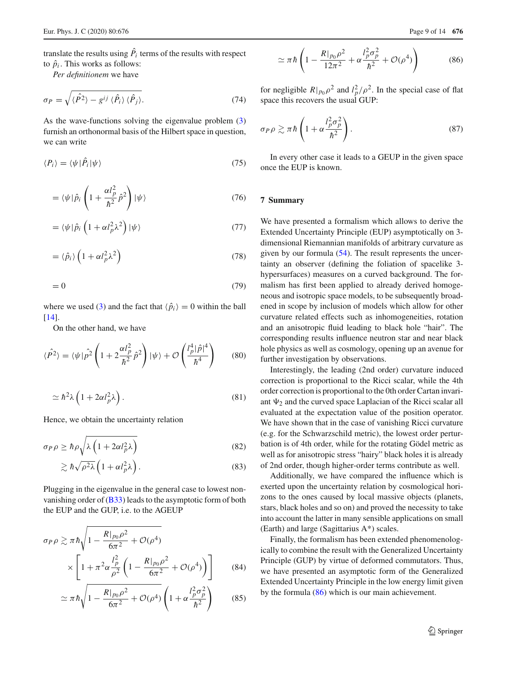translate the results using  $\ddot{P_i}$  terms of the results with respect to  $\hat{p}_i$ . This works as follows:

*Per definitionem* we have

$$
\sigma_P = \sqrt{\langle \hat{P}^2 \rangle - g^{ij} \langle \hat{P}_i \rangle \langle \hat{P}_j \rangle}.
$$
 (74)

As the wave-functions solving the eigenvalue problem [\(3\)](#page-1-2) furnish an orthonormal basis of the Hilbert space in question, we can write

$$
\langle P_i \rangle = \langle \psi | \hat{P}_i | \psi \rangle \tag{75}
$$

$$
= \langle \psi | \hat{p}_i \left( 1 + \frac{\alpha l_p^2}{\hbar^2} \hat{p}^2 \right) | \psi \rangle \tag{76}
$$

$$
= \langle \psi | \hat{p}_i \left( 1 + \alpha l_p^2 \lambda^2 \right) | \psi \rangle \tag{77}
$$

$$
= \langle \hat{p}_i \rangle \left( 1 + \alpha l_p^2 \lambda^2 \right) \tag{78}
$$

$$
=0\tag{79}
$$

where we used [\(3\)](#page-1-2) and the fact that  $\langle \hat{p}_i \rangle = 0$  within the ball [\[14](#page-13-9)].

On the other hand, we have

$$
\langle \hat{P}^2 \rangle = \langle \psi | \hat{p}^2 \left( 1 + 2 \frac{\alpha l_p^2}{\hbar^2} \hat{p}^2 \right) | \psi \rangle + \mathcal{O} \left( \frac{l_p^4 |\hat{p}|^4}{\hbar^4} \right) \tag{80}
$$

$$
\simeq \hbar^2 \lambda \left( 1 + 2\alpha l_p^2 \lambda \right). \tag{81}
$$

Hence, we obtain the uncertainty relation

$$
\sigma_P \rho \ge \hbar \rho \sqrt{\lambda \left(1 + 2\alpha l_p^2 \lambda\right)}\tag{82}
$$

$$
\gtrsim \hbar \sqrt{\rho^2 \lambda} \left( 1 + \alpha l_p^2 \lambda \right). \tag{83}
$$

Plugging in the eigenvalue in the general case to lowest nonvanishing order of [\(B33\)](#page-12-0) leads to the asymptotic form of both the EUP and the GUP, i.e. to the AGEUP

$$
\sigma_{P}\rho \gtrsim \pi \hbar \sqrt{1 - \frac{R|_{p_0}\rho^2}{6\pi^2} + \mathcal{O}(\rho^4)} \times \left[1 + \pi^2 \alpha \frac{l_P^2}{\rho^2} \left(1 - \frac{R|_{p_0}\rho^2}{6\pi^2} + \mathcal{O}(\rho^4)\right)\right]
$$
(84)

$$
\simeq \pi \hbar \sqrt{1 - \frac{R|_{p_0} \rho^2}{6\pi^2} + \mathcal{O}(\rho^4)} \left(1 + \alpha \frac{l_p^2 \sigma_p^2}{\hbar^2}\right) \tag{85}
$$

<span id="page-8-1"></span>
$$
\left(1 - \frac{R|_{p_0} \rho^2}{12\pi^2} + \alpha \frac{l_p^2 \sigma_p^2}{\hbar^2} + \mathcal{O}(\rho^4)\right) \tag{86}
$$

for negligible  $R|_{p_0} \rho^2$  and  $l_p^2/\rho^2$ . In the special case of flat space this recovers the usual GUP:

$$
\sigma_P \rho \gtrsim \pi \hbar \left( 1 + \alpha \frac{l_P^2 \sigma_p^2}{\hbar^2} \right). \tag{87}
$$

In every other case it leads to a GEUP in the given space once the EUP is known.

## <span id="page-8-0"></span>**7 Summary**

 $\simeq \pi \hbar$ 

We have presented a formalism which allows to derive the Extended Uncertainty Principle (EUP) asymptotically on 3 dimensional Riemannian manifolds of arbitrary curvature as given by our formula  $(54)$ . The result represents the uncertainty an observer (defining the foliation of spacelike 3 hypersurfaces) measures on a curved background. The formalism has first been applied to already derived homogeneous and isotropic space models, to be subsequently broadened in scope by inclusion of models which allow for other curvature related effects such as inhomogeneities, rotation and an anisotropic fluid leading to black hole "hair". The corresponding results influence neutron star and near black hole physics as well as cosmology, opening up an avenue for further investigation by observations.

Interestingly, the leading (2nd order) curvature induced correction is proportional to the Ricci scalar, while the 4th order correction is proportional to the 0th order Cartan invariant  $\Psi_2$  and the curved space Laplacian of the Ricci scalar all evaluated at the expectation value of the position operator. We have shown that in the case of vanishing Ricci curvature (e.g. for the Schwarzschild metric), the lowest order perturbation is of 4th order, while for the rotating Gödel metric as well as for anisotropic stress "hairy" black holes it is already of 2nd order, though higher-order terms contribute as well.

Additionally, we have compared the influence which is exerted upon the uncertainty relation by cosmological horizons to the ones caused by local massive objects (planets, stars, black holes and so on) and proved the necessity to take into account the latter in many sensible applications on small (Earth) and large (Sagittarius A\*) scales.

Finally, the formalism has been extended phenomenologically to combine the result with the Generalized Uncertainty Principle (GUP) by virtue of deformed commutators. Thus, we have presented an asymptotic form of the Generalized Extended Uncertainty Principle in the low energy limit given by the formula [\(86\)](#page-8-1) which is our main achievement.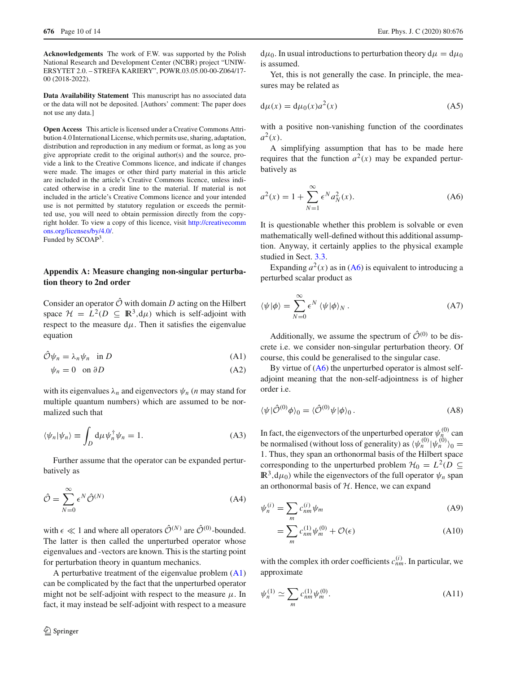**Acknowledgements** The work of F.W. was supported by the Polish National Research and Development Center (NCBR) project "UNIW-ERSYTET 2.0. – STREFA KARIERY", POWR.03.05.00-00-Z064/17- 00 (2018-2022).

**Data Availability Statement** This manuscript has no associated data or the data will not be deposited. [Authors' comment: The paper does not use any data.]

**Open Access** This article is licensed under a Creative Commons Attribution 4.0 International License, which permits use, sharing, adaptation, distribution and reproduction in any medium or format, as long as you give appropriate credit to the original author(s) and the source, provide a link to the Creative Commons licence, and indicate if changes were made. The images or other third party material in this article are included in the article's Creative Commons licence, unless indicated otherwise in a credit line to the material. If material is not included in the article's Creative Commons licence and your intended use is not permitted by statutory regulation or exceeds the permitted use, you will need to obtain permission directly from the copyright holder. To view a copy of this licence, visit [http://creativecomm](http://creativecommons.org/licenses/by/4.0/) [ons.org/licenses/by/4.0/.](http://creativecommons.org/licenses/by/4.0/) Funded by SCOAP<sup>3</sup>.

# **Appendix A: Measure changing non-singular perturbation theory to 2nd order**

Consider an operator  $\hat{\mathcal{O}}$  with domain *D* acting on the Hilbert space  $\mathcal{H} = L^2(D \subseteq \mathbb{R}^3, d\mu)$  which is self-adjoint with respect to the measure  $d\mu$ . Then it satisfies the eigenvalue equation

$$
\hat{\mathcal{O}}\psi_n = \lambda_n \psi_n \quad \text{in } D \tag{A1}
$$

$$
\psi_n = 0 \quad \text{on } \partial D \tag{A2}
$$

with its eigenvalues  $\lambda_n$  and eigenvectors  $\psi_n$  (*n* may stand for multiple quantum numbers) which are assumed to be normalized such that

$$
\langle \psi_n | \psi_n \rangle \equiv \int_D d\mu \psi_n^{\dagger} \psi_n = 1. \tag{A3}
$$

Further assume that the operator can be expanded perturbatively as

$$
\hat{\mathcal{O}} = \sum_{N=0}^{\infty} \epsilon^N \hat{\mathcal{O}}^{(N)} \tag{A4}
$$

with  $\epsilon \ll 1$  and where all operators  $\hat{\mathcal{O}}^{(N)}$  are  $\hat{\mathcal{O}}^{(0)}$ -bounded. The latter is then called the unperturbed operator whose eigenvalues and -vectors are known. This is the starting point for perturbation theory in quantum mechanics.

A perturbative treatment of the eigenvalue problem [\(A1\)](#page-9-0) can be complicated by the fact that the unperturbed operator might not be self-adjoint with respect to the measure  $\mu$ . In fact, it may instead be self-adjoint with respect to a measure  $d\mu_0$ . In usual introductions to perturbation theory  $d\mu = d\mu_0$ is assumed.

Yet, this is not generally the case. In principle, the measures may be related as

$$
d\mu(x) = d\mu_0(x)a^2(x)
$$
 (A5)

with a positive non-vanishing function of the coordinates  $a^2(x)$ .

A simplifying assumption that has to be made here requires that the function  $a^2(x)$  may be expanded perturbatively as

<span id="page-9-1"></span>
$$
a^{2}(x) = 1 + \sum_{N=1}^{\infty} \epsilon^{N} a_{N}^{2}(x).
$$
 (A6)

It is questionable whether this problem is solvable or even mathematically well-defined without this additional assumption. Anyway, it certainly applies to the physical example studied in Sect. [3.3.](#page-3-1)

Expanding  $a^2(x)$  as in [\(A6\)](#page-9-1) is equivalent to introducing a perturbed scalar product as

$$
\langle \psi | \phi \rangle = \sum_{N=0}^{\infty} \epsilon^N \langle \psi | \phi \rangle_N . \tag{A7}
$$

<span id="page-9-0"></span>Additionally, we assume the spectrum of  $\hat{\mathcal{O}}^{(0)}$  to be discrete i.e. we consider non-singular perturbation theory. Of course, this could be generalised to the singular case.

By virtue of  $(A6)$  the unperturbed operator is almost selfadjoint meaning that the non-self-adjointness is of higher order i.e.

<span id="page-9-2"></span>
$$
\langle \psi | \hat{\mathcal{O}}^{(0)} \phi \rangle_0 = \langle \hat{\mathcal{O}}^{(0)} \psi | \phi \rangle_0. \tag{A8}
$$

In fact, the eigenvectors of the unperturbed operator  $\psi_n^{(0)}$  can be normalised (without loss of generality) as  $\langle \psi_n^{(0)} | \psi_n^{(0)} \rangle_0 =$ 1. Thus, they span an orthonormal basis of the Hilbert space corresponding to the unperturbed problem  $\mathcal{H}_0 = L^2(D \subseteq$  $\mathbb{R}^3$ ,  $d\mu_0$ ) while the eigenvectors of the full operator  $\psi_n$  span an orthonormal basis of *H*. Hence, we can expand

$$
\psi_n^{(i)} = \sum_m c_{nm}^{(i)} \psi_m \tag{A9}
$$

<span id="page-9-4"></span><span id="page-9-3"></span>
$$
=\sum_{m}c_{nm}^{(1)}\psi_m^{(0)} + \mathcal{O}(\epsilon)
$$
\n(A10)

with the complex ith order coefficients  $c_{nm}^{(i)}$ . In particular, we approximate

$$
\psi_n^{(1)} \simeq \sum_m c_{nm}^{(1)} \psi_m^{(0)}.
$$
\n(A11)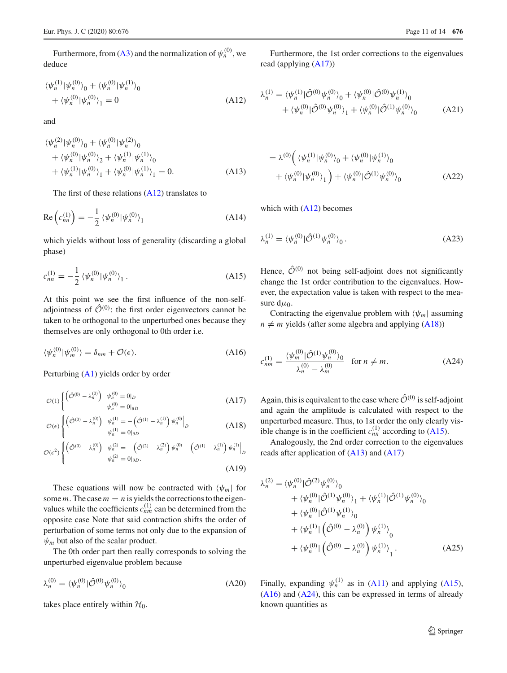Furthermore, from [\(A3\)](#page-9-2) and the normalization of  $\psi_n^{(0)}$ , we deduce

$$
\langle \psi_n^{(1)} | \psi_n^{(0)} \rangle_0 + \langle \psi_n^{(0)} | \psi_n^{(1)} \rangle_0 + \langle \psi_n^{(0)} | \psi_n^{(0)} \rangle_1 = 0
$$
\n(A12)

and

$$
\langle \psi_n^{(2)} | \psi_n^{(0)} \rangle_0 + \langle \psi_n^{(0)} | \psi_n^{(2)} \rangle_0 + \langle \psi_n^{(0)} | \psi_n^{(0)} \rangle_2 + \langle \psi_n^{(1)} | \psi_n^{(1)} \rangle_0 + \langle \psi_n^{(1)} | \psi_n^{(0)} \rangle_1 + \langle \psi_n^{(0)} | \psi_n^{(1)} \rangle_1 = 0.
$$
 (A13)

The first of these relations  $(A12)$  translates to

$$
\operatorname{Re}\left(c_{nn}^{(1)}\right) = -\frac{1}{2} \left\langle \psi_n^{(0)} | \psi_n^{(0)} \right\rangle_1 \tag{A14}
$$

which yields without loss of generality (discarding a global phase)

$$
c_{nn}^{(1)} = -\frac{1}{2} \left\langle \psi_n^{(0)} | \psi_n^{(0)} \right\rangle_1. \tag{A15}
$$

At this point we see the first influence of the non-selfadjointness of  $\hat{\mathcal{O}}^{(0)}$ : the first order eigenvectors cannot be taken to be orthogonal to the unperturbed ones because they themselves are only orthogonal to 0th order i.e.

$$
\langle \psi_n^{(0)} | \psi_m^{(0)} \rangle = \delta_{nm} + \mathcal{O}(\epsilon). \tag{A16}
$$

Perturbing [\(A1\)](#page-9-0) yields order by order

$$
\mathcal{O}(1) \begin{cases} \left(\hat{\mathcal{O}}^{(0)} - \lambda_n^{(0)}\right) & \psi_n^{(0)} = 0|_D \\ & \psi_n^{(0)} = 0|_{\partial D} \end{cases} \tag{A17}
$$

$$
\mathcal{O}(\epsilon) \begin{cases} \left( \hat{\mathcal{O}}^{(0)} - \lambda_n^{(0)} \right) & \psi_n^{(1)} = -\left( \hat{\mathcal{O}}^{(1)} - \lambda_n^{(1)} \right) \psi_n^{(0)} \Big|_D \\ & \psi_n^{(1)} = 0 \Big|_{\partial D} \end{cases} \tag{A18}
$$

$$
\mathcal{O}(\epsilon^2) \begin{cases} \left( \hat{\mathcal{O}}^{(0)} - \lambda_n^{(0)} \right) & \psi_n^{(2)} = -\left( \hat{\mathcal{O}}^{(2)} - \lambda_n^{(2)} \right) \psi_n^{(0)} - \left( \hat{\mathcal{O}}^{(1)} - \lambda_n^{(1)} \right) \psi_n^{(1)} \Big|_{D} \\ & \psi_n^{(2)} = 0 \Big|_{\partial D}. \end{cases}
$$
\n(A19)

These equations will now be contracted with  $\langle \psi_m |$  for some *m*. The case  $m = n$  is yields the corrections to the eigenvalues while the coefficients  $c_{nm}^{(1)}$  can be determined from the opposite case Note that said contraction shifts the order of perturbation of some terms not only due to the expansion of  $\psi_m$  but also of the scalar product.

The 0th order part then really corresponds to solving the unperturbed eigenvalue problem because

$$
\lambda_n^{(0)} = \langle \psi_n^{(0)} | \hat{\mathcal{O}}^{(0)} \psi_n^{(0)} \rangle_0 \tag{A20}
$$

takes place entirely within  $\mathcal{H}_0$ .

Furthermore, the 1st order corrections to the eigenvalues read (applying [\(A17\)](#page-10-1))

<span id="page-10-0"></span>
$$
\lambda_n^{(1)} = \langle \psi_n^{(1)} | \hat{\mathcal{O}}^{(0)} \psi_n^{(0)} \rangle_0 + \langle \psi_n^{(0)} | \hat{\mathcal{O}}^{(0)} \psi_n^{(1)} \rangle_0 + \langle \psi_n^{(0)} | \hat{\mathcal{O}}^{(0)} \psi_n^{(0)} \rangle_1 + \langle \psi_n^{(0)} | \hat{\mathcal{O}}^{(1)} \psi_n^{(0)} \rangle_0
$$
(A21)

<span id="page-10-4"></span>
$$
= \lambda^{(0)} \left( \langle \psi_n^{(1)} | \psi_n^{(0)} \rangle_0 + \langle \psi_n^{(0)} | \psi_n^{(1)} \rangle_0 + \langle \psi_n^{(0)} | \psi_n^{(0)} \rangle_1 \right) + \langle \psi_n^{(0)} | \hat{\mathcal{O}}^{(1)} \psi_n^{(0)} \rangle_0 \tag{A22}
$$

which with  $(A12)$  becomes

$$
\lambda_n^{(1)} = \langle \psi_n^{(0)} | \hat{\mathcal{O}}^{(1)} \psi_n^{(0)} \rangle_0. \tag{A23}
$$

<span id="page-10-3"></span>Hence,  $\hat{\mathcal{O}}^{(0)}$  not being self-adjoint does not significantly change the 1st order contribution to the eigenvalues. However, the expectation value is taken with respect to the measure  $d\mu_0$ .

Contracting the eigenvalue problem with  $\langle \psi_m |$  assuming  $n \neq m$  yields (after some algebra and applying [\(A18\)](#page-10-2))

<span id="page-10-6"></span><span id="page-10-5"></span>
$$
c_{nm}^{(1)} = \frac{\langle \psi_m^{(0)} | \hat{\mathcal{O}}^{(1)} \psi_n^{(0)} \rangle_0}{\lambda_n^{(0)} - \lambda_m^{(0)}} \quad \text{for } n \neq m. \tag{A24}
$$

<span id="page-10-2"></span><span id="page-10-1"></span>Again, this is equivalent to the case where  $\hat{\mathcal{O}}^{(0)}$  is self-adjoint and again the amplitude is calculated with respect to the unperturbed measure. Thus, to 1st order the only clearly visible change is in the coefficient  $c_{nn}^{(1)}$  according to [\(A15\)](#page-10-3).

Analogously, the 2nd order correction to the eigenvalues reads after application of  $(A13)$  and  $(A17)$ 

<span id="page-10-7"></span>
$$
\lambda_n^{(2)} = \langle \psi_n^{(0)} | \hat{\mathcal{O}}^{(2)} \psi_n^{(0)} \rangle_0 \n+ \langle \psi_n^{(0)} | \hat{\mathcal{O}}^{(1)} \psi_n^{(0)} \rangle_1 + \langle \psi_n^{(1)} | \hat{\mathcal{O}}^{(1)} \psi_n^{(0)} \rangle_0 \n+ \langle \psi_n^{(0)} | \hat{\mathcal{O}}^{(1)} \psi_n^{(1)} \rangle_0 \n+ \langle \psi_n^{(1)} | \left( \hat{\mathcal{O}}^{(0)} - \lambda_n^{(0)} \right) \psi_n^{(1)} \rangle_0 \n+ \langle \psi_n^{(0)} | \left( \hat{\mathcal{O}}^{(0)} - \lambda_n^{(0)} \right) \psi_n^{(1)} \rangle_1.
$$
\n(A25)

Finally, expanding  $\psi_n^{(1)}$  as in [\(A11\)](#page-9-3) and applying [\(A15\)](#page-10-3),  $(A16)$  and  $(A24)$ , this can be expressed in terms of already known quantities as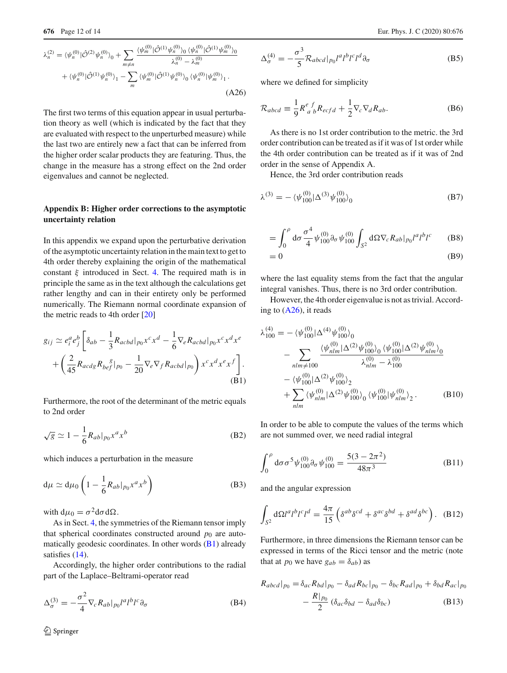$$
\lambda_n^{(2)} = \langle \psi_n^{(0)} | \hat{\mathcal{O}}^{(2)} \psi_n^{(0)} \rangle_0 + \sum_{m \neq n} \frac{\langle \psi_m^{(0)} | \hat{\mathcal{O}}^{(1)} \psi_n^{(0)} \rangle_0 \langle \psi_n^{(0)} | \hat{\mathcal{O}}^{(1)} \psi_m^{(0)} \rangle_0}{\lambda_n^{(0)} - \lambda_m^{(0)}} + \langle \psi_n^{(0)} | \hat{\mathcal{O}}^{(1)} \psi_n^{(0)} \rangle_1 - \sum_m \langle \psi_m^{(0)} | \hat{\mathcal{O}}^{(1)} \psi_n^{(0)} \rangle_0 \langle \psi_n^{(0)} | \psi_m^{(0)} \rangle_1.
$$
\n(A26)

The first two terms of this equation appear in usual perturbation theory as well (which is indicated by the fact that they are evaluated with respect to the unperturbed measure) while the last two are entirely new a fact that can be inferred from the higher order scalar products they are featuring. Thus, the change in the measure has a strong effect on the 2nd order eigenvalues and cannot be neglected.

# **Appendix B: Higher order corrections to the asymptotic uncertainty relation**

In this appendix we expand upon the perturbative derivation of the asymptotic uncertainty relation in the main text to get to 4th order thereby explaining the origin of the mathematical constant  $\xi$  introduced in Sect. [4.](#page-4-0) The required math is in principle the same as in the text although the calculations get rather lengthy and can in their entirety only be performed numerically. The Riemann normal coordinate expansion of the metric reads to 4th order [\[20](#page-13-15)]

$$
g_{ij} \simeq e_i^a e_j^b \left[ \delta_{ab} - \frac{1}{3} R_{acbd} |_{p_0} x^c x^d - \frac{1}{6} \nabla_e R_{acbd} |_{p_0} x^c x^d x^e
$$

$$
+ \left( \frac{2}{45} R_{acdg} R_{bef}^{\quad \beta} |_{p_0} - \frac{1}{20} \nabla_e \nabla_f R_{acbd} |_{p_0} \right) x^c x^d x^e x^f \right].
$$
  
(B1)

Furthermore, the root of the determinant of the metric equals to 2nd order

$$
\sqrt{g} \simeq 1 - \frac{1}{6} R_{ab} |_{p_0} x^a x^b \tag{B2}
$$

which induces a perturbation in the measure

$$
d\mu \simeq d\mu_0 \left( 1 - \frac{1}{6} R_{ab} |_{p_0} x^a x^b \right) \tag{B3}
$$

with  $d\mu_0 = \sigma^2 d\sigma d\Omega$ .

As in Sect. [4,](#page-4-0) the symmetries of the Riemann tensor imply that spherical coordinates constructed around  $p_0$  are automatically geodesic coordinates. In other words  $(B1)$  already satisfies  $(14)$ .

Accordingly, the higher order contributions to the radial part of the Laplace–Beltrami-operator read

$$
\Delta_{\sigma}^{(3)} = -\frac{\sigma^2}{4} \nabla_c R_{ab} |_{p_0} l^a l^b l^c \partial_{\sigma}
$$
 (B4)

$$
\Delta_{\sigma}^{(4)} = -\frac{\sigma^3}{5} \mathcal{R}_{abcd}|_{p_0} l^a l^b l^c l^d \partial_{\sigma}
$$
 (B5)

<span id="page-11-0"></span>where we defined for simplicity

$$
\mathcal{R}_{abcd} \equiv \frac{1}{9} R^e_{a b} R_{ecfd} + \frac{1}{2} \nabla_c \nabla_d R_{ab}.
$$
 (B6)

As there is no 1st order contribution to the metric. the 3rd order contribution can be treated as if it was of 1st order while the 4th order contribution can be treated as if it was of 2nd order in the sense of Appendix A.

Hence, the 3rd order contribution reads

$$
\lambda^{(3)} = -\langle \psi_{100}^{(0)} | \Delta^{(3)} \psi_{100}^{(0)} \rangle_0 \tag{B7}
$$

$$
= \int_0^{\rho} d\sigma \frac{\sigma^4}{4} \psi_{100}^{(0)} \partial_{\sigma} \psi_{100}^{(0)} \int_{S^2} d\Omega \nabla_c R_{ab} |_{p_0} l^a l^b l^c \qquad (B8)
$$

$$
=0 \tag{B9}
$$

where the last equality stems from the fact that the angular integral vanishes. Thus, there is no 3rd order contribution.

However, the 4th order eigenvalue is not as trivial. According to  $(A26)$ , it reads

$$
\lambda_{100}^{(4)} = -\langle \psi_{100}^{(0)} | \Delta^{(4)} \psi_{100}^{(0)} \rangle_0
$$
  
\n
$$
- \sum_{nlm \neq 100} \frac{\langle \psi_{nlm}^{(0)} | \Delta^{(2)} \psi_{100}^{(0)} \rangle_0 \langle \psi_{100}^{(0)} | \Delta^{(2)} \psi_{nlm}^{(0)} \rangle_0}{\lambda_{nlm}^{(0)} - \lambda_{100}^{(0)}} -\langle \psi_{100}^{(0)} | \Delta^{(2)} \psi_{100}^{(0)} \rangle_2
$$
  
\n
$$
+ \sum_{nlm} \langle \psi_{nlm}^{(0)} | \Delta^{(2)} \psi_{100}^{(0)} \rangle_0 \langle \psi_{100}^{(0)} | \psi_{nlm}^{(0)} \rangle_2.
$$
 (B10)

In order to be able to compute the values of the terms which are not summed over, we need radial integral

$$
\int_0^\rho d\sigma \sigma^5 \psi_{100}^{(0)} \partial_\sigma \psi_{100}^{(0)} = \frac{5(3 - 2\pi^2)}{48\pi^3}
$$
 (B11)

and the angular expression

$$
\int_{S^2} d\Omega l^a l^b l^c l^d = \frac{4\pi}{15} \left( \delta^{ab} \delta^{cd} + \delta^{ac} \delta^{bd} + \delta^{ad} \delta^{bc} \right). \quad (B12)
$$

Furthermore, in three dimensions the Riemann tensor can be expressed in terms of the Ricci tensor and the metric (note that at  $p_0$  we have  $g_{ab} = \delta_{ab}$ ) as

$$
R_{abcd}|_{p_0} = \delta_{ac} R_{bd}|_{p_0} - \delta_{ad} R_{bc}|_{p_0} - \delta_{bc} R_{ad}|_{p_0} + \delta_{bd} R_{ac}|_{p_0}
$$

$$
- \frac{R|_{p_0}}{2} (\delta_{ac} \delta_{bd} - \delta_{ad} \delta_{bc})
$$
(B13)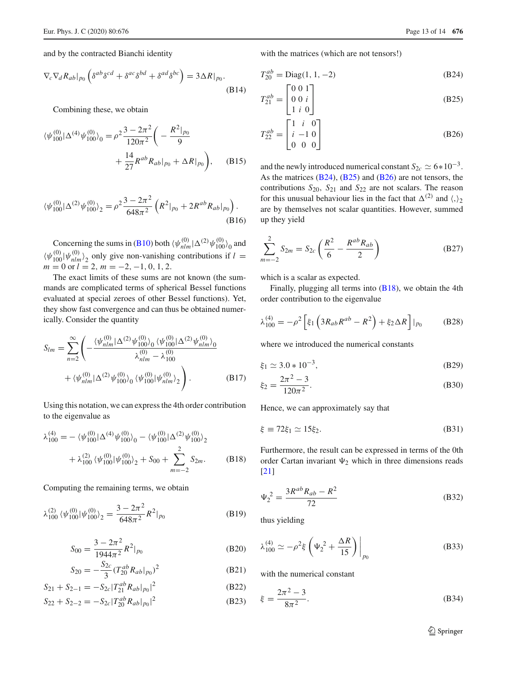and by the contracted Bianchi identity

$$
\nabla_c \nabla_d R_{ab} |_{p_0} \left( \delta^{ab} \delta^{cd} + \delta^{ac} \delta^{bd} + \delta^{ad} \delta^{bc} \right) = 3 \Delta R |_{p_0}.
$$
\n(B14)

Combining these, we obtain

$$
\langle \psi_{100}^{(0)} | \Delta^{(4)} \psi_{100}^{(0)} \rangle_0 = \rho^2 \frac{3 - 2\pi^2}{120\pi^2} \left( -\frac{R^2|_{p_0}}{9} + \frac{14}{27} R^{ab} R_{ab} |_{p_0} + \Delta R|_{p_0} \right), \quad (B15)
$$

$$
\langle \psi_{100}^{(0)} | \Delta^{(2)} \psi_{100}^{(0)} \rangle_2 = \rho^2 \frac{3 - 2\pi^2}{648\pi^2} \left( R^2 |_{p_0} + 2R^{ab} R_{ab} |_{p_0} \right).
$$
\n(B16)

Concerning the sums in [\(B10\)](#page-9-4) both  $\langle \psi_{nlm}^{(0)} | \Delta^{(2)} \psi_{100}^{(0)} \rangle_0$  and  $\langle \psi_{100}^{(0)} | \psi_{nlm}^{(0)} \rangle_2$  only give non-vanishing contributions if  $l =$  $m = 0$  or  $l = 2$ ,  $m = -2, -1, 0, 1, 2$ .

The exact limits of these sums are not known (the summands are complicated terms of spherical Bessel functions evaluated at special zeroes of other Bessel functions). Yet, they show fast convergence and can thus be obtained numerically. Consider the quantity

$$
S_{lm} = \sum_{n=2}^{\infty} \left( -\frac{\langle \psi_{nlm}^{(0)} | \Delta^{(2)} \psi_{100}^{(0)} \rangle_0 \langle \psi_{100}^{(0)} | \Delta^{(2)} \psi_{nlm}^{(0)} \rangle_0}{\lambda_{nlm}^{(0)} - \lambda_{100}^{(0)}} + \langle \psi_{nlm}^{(0)} | \Delta^{(2)} \psi_{100}^{(0)} \rangle_0 \langle \psi_{100}^{(0)} | \psi_{nlm}^{(0)} \rangle_2 \right). \tag{B17}
$$

Using this notation, we can express the 4th order contribution to the eigenvalue as

$$
\lambda_{100}^{(4)} = -\langle \psi_{100}^{(0)} | \Delta^{(4)} \psi_{100}^{(0)} \rangle_0 - \langle \psi_{100}^{(0)} | \Delta^{(2)} \psi_{100}^{(0)} \rangle_2 \n+ \lambda_{100}^{(2)} \langle \psi_{100}^{(0)} | \psi_{100}^{(0)} \rangle_2 + S_{00} + \sum_{m=-2}^{2} S_{2m}.
$$
 (B18)

Computing the remaining terms, we obtain

$$
\lambda_{100}^{(2)} \langle \psi_{100}^{(0)} | \psi_{100}^{(0)} \rangle_2 = \frac{3 - 2\pi^2}{648\pi^2} R^2 |_{p_0}
$$
 (B19)

$$
S_{00} = \frac{3 - 2\pi^2}{1944\pi^2} R^2|_{p_0}
$$
 (B20)

$$
S_{20} = -\frac{S_{2c}}{3} (T_{20}^{ab} R_{ab}|_{p_0})^2
$$
 (B21)

$$
S_{21} + S_{2-1} = -S_{2c} |T_{21}^{ab} R_{ab}|_{p_0}|^2
$$
 (B22)

$$
S_{22} + S_{2-2} = -S_{2c} |T_{20}^{ab} R_{ab} |_{p_0}|^2
$$
 (B23)

with the matrices (which are not tensors!)

$$
T_{20}^{ab} = \text{Diag}(1, 1, -2)
$$
 (B24)

$$
T_{21}^{ab} = \begin{bmatrix} 0 & 0 & 1 \\ 0 & 0 & i \\ 1 & i & 0 \end{bmatrix}
$$
 (B25)

$$
T_{22}^{ab} = \begin{bmatrix} 1 & i & 0 \\ i & -1 & 0 \\ 0 & 0 & 0 \end{bmatrix}
$$
 (B26)

and the newly introduced numerical constant  $S_{2c} \simeq 6*10^{-3}$ . As the matrices [\(B24\)](#page-10-6), [\(B25\)](#page-10-7) and [\(B26\)](#page-11-0) are not tensors, the contributions *S*20, *S*<sup>21</sup> and *S*<sup>22</sup> are not scalars. The reason for this unusual behaviour lies in the fact that  $\Delta^{(2)}$  and  $\langle,\rangle_2$ are by themselves not scalar quantities. However, summed up they yield

$$
\sum_{m=-2}^{2} S_{2m} = S_{2c} \left( \frac{R^2}{6} - \frac{R^{ab} R_{ab}}{2} \right)
$$
 (B27)

which is a scalar as expected.

Finally, plugging all terms into  $(B18)$ , we obtain the 4th order contribution to the eigenvalue

$$
\lambda_{100}^{(4)} = -\rho^2 \left[ \xi_1 \left( 3R_{ab} R^{ab} - R^2 \right) + \xi_2 \Delta R \right] |_{p_0}
$$
 (B28)

where we introduced the numerical constants

$$
\xi_1 \simeq 3.0 \times 10^{-3},\tag{B29}
$$

$$
\xi_2 = \frac{2\pi^2 - 3}{120\pi^2}.
$$
 (B30)

Hence, we can approximately say that

$$
\xi \equiv 72\xi_1 \simeq 15\xi_2. \tag{B31}
$$

Furthermore, the result can be expressed in terms of the 0th order Cartan invariant  $\Psi_2$  which in three dimensions reads [\[21](#page-13-16)]

$$
\Psi_2^2 = \frac{3R^{ab}R_{ab} - R^2}{72}
$$
 (B32)

<span id="page-12-0"></span>thus yielding

$$
\lambda_{100}^{(4)} \simeq -\rho^2 \xi \left( \Psi_2^2 + \frac{\Delta R}{15} \right) \bigg|_{p_0}
$$
 (B33)

with the numerical constant

$$
\xi = \frac{2\pi^2 - 3}{8\pi^2}.
$$
 (B34)